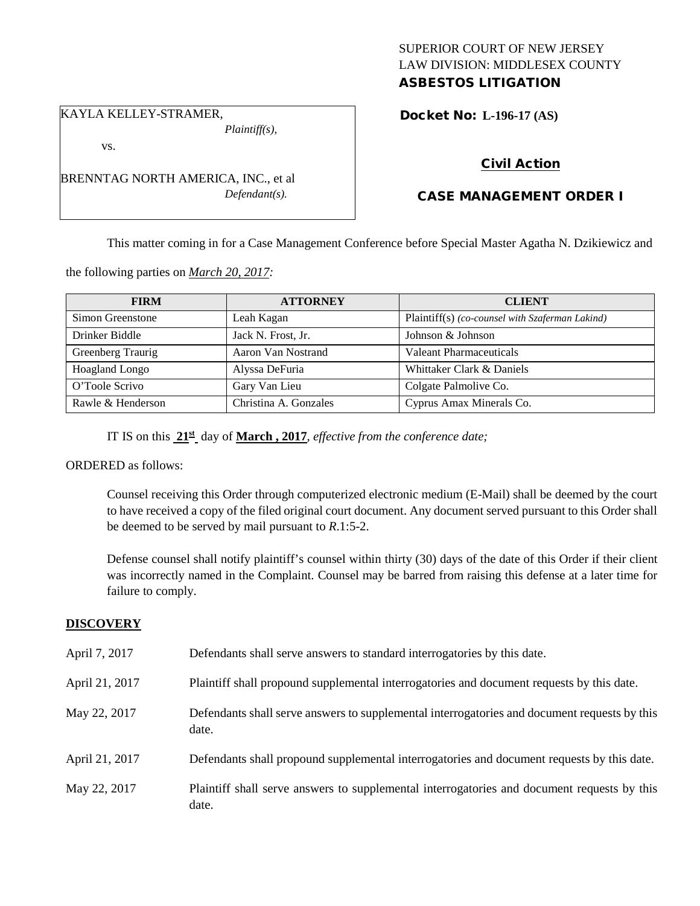## SUPERIOR COURT OF NEW JERSEY LAW DIVISION: MIDDLESEX COUNTY ASBESTOS LITIGATION

#### KAYLA KELLEY-STRAMER,

vs.

*Plaintiff(s),*

*Defendant(s).*

Docket No: **L-196-17 (AS)** 

# Civil Action

## CASE MANAGEMENT ORDER I

This matter coming in for a Case Management Conference before Special Master Agatha N. Dzikiewicz and

the following parties on *March 20, 2017:*

BRENNTAG NORTH AMERICA, INC., et al

| <b>FIRM</b>       | <b>ATTORNEY</b>       | <b>CLIENT</b>                                   |
|-------------------|-----------------------|-------------------------------------------------|
| Simon Greenstone  | Leah Kagan            | Plaintiff(s) (co-counsel with Szaferman Lakind) |
| Drinker Biddle    | Jack N. Frost, Jr.    | Johnson & Johnson                               |
| Greenberg Traurig | Aaron Van Nostrand    | Valeant Pharmaceuticals                         |
| Hoagland Longo    | Alyssa DeFuria        | Whittaker Clark & Daniels                       |
| O'Toole Scrivo    | Gary Van Lieu         | Colgate Palmolive Co.                           |
| Rawle & Henderson | Christina A. Gonzales | Cyprus Amax Minerals Co.                        |

IT IS on this **21st** day of **March , 2017**, *effective from the conference date;*

#### ORDERED as follows:

Counsel receiving this Order through computerized electronic medium (E-Mail) shall be deemed by the court to have received a copy of the filed original court document. Any document served pursuant to this Order shall be deemed to be served by mail pursuant to *R*.1:5-2.

Defense counsel shall notify plaintiff's counsel within thirty (30) days of the date of this Order if their client was incorrectly named in the Complaint. Counsel may be barred from raising this defense at a later time for failure to comply.

## **DISCOVERY**

| April 7, 2017  | Defendants shall serve answers to standard interrogatories by this date.                              |
|----------------|-------------------------------------------------------------------------------------------------------|
| April 21, 2017 | Plaintiff shall propound supplemental interrogatories and document requests by this date.             |
| May 22, 2017   | Defendants shall serve answers to supplemental interrogatories and document requests by this<br>date. |
| April 21, 2017 | Defendants shall propound supplemental interrogatories and document requests by this date.            |
| May 22, 2017   | Plaintiff shall serve answers to supplemental interrogatories and document requests by this<br>date.  |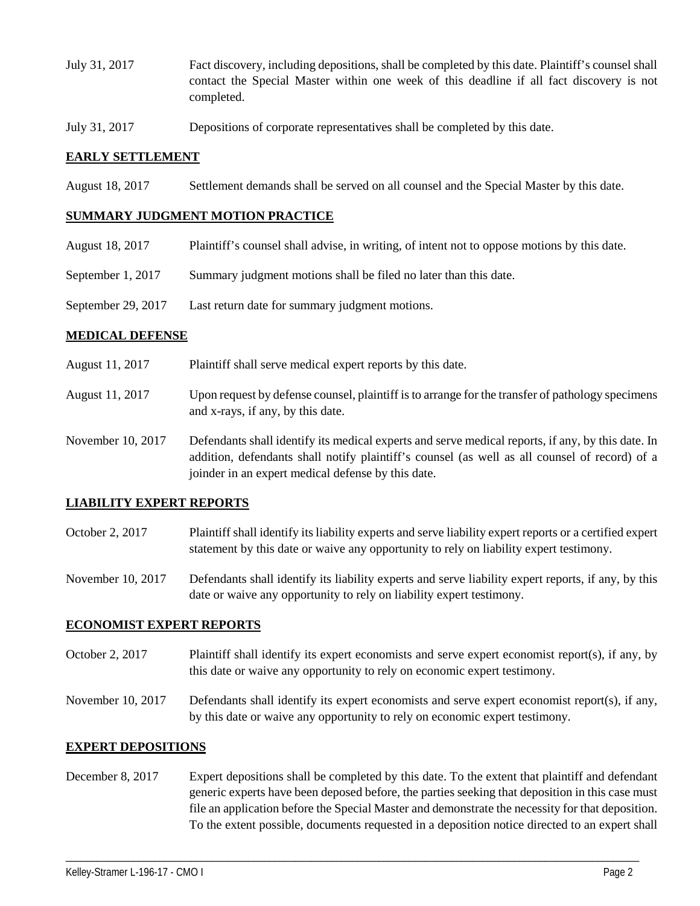- July 31, 2017 Fact discovery, including depositions, shall be completed by this date. Plaintiff's counsel shall contact the Special Master within one week of this deadline if all fact discovery is not completed.
- July 31, 2017 Depositions of corporate representatives shall be completed by this date.

#### **EARLY SETTLEMENT**

August 18, 2017 Settlement demands shall be served on all counsel and the Special Master by this date.

#### **SUMMARY JUDGMENT MOTION PRACTICE**

- August 18, 2017 Plaintiff's counsel shall advise, in writing, of intent not to oppose motions by this date.
- September 1, 2017 Summary judgment motions shall be filed no later than this date.
- September 29, 2017 Last return date for summary judgment motions.

#### **MEDICAL DEFENSE**

- August 11, 2017 Plaintiff shall serve medical expert reports by this date.
- August 11, 2017 Upon request by defense counsel, plaintiff is to arrange for the transfer of pathology specimens and x-rays, if any, by this date.
- November 10, 2017 Defendants shall identify its medical experts and serve medical reports, if any, by this date. In addition, defendants shall notify plaintiff's counsel (as well as all counsel of record) of a joinder in an expert medical defense by this date.

## **LIABILITY EXPERT REPORTS**

October 2, 2017 Plaintiff shall identify its liability experts and serve liability expert reports or a certified expert statement by this date or waive any opportunity to rely on liability expert testimony.

November 10, 2017 Defendants shall identify its liability experts and serve liability expert reports, if any, by this date or waive any opportunity to rely on liability expert testimony.

#### **ECONOMIST EXPERT REPORTS**

October 2, 2017 Plaintiff shall identify its expert economists and serve expert economist report(s), if any, by this date or waive any opportunity to rely on economic expert testimony.

November 10, 2017 Defendants shall identify its expert economists and serve expert economist report(s), if any, by this date or waive any opportunity to rely on economic expert testimony.

#### **EXPERT DEPOSITIONS**

December 8, 2017 Expert depositions shall be completed by this date. To the extent that plaintiff and defendant generic experts have been deposed before, the parties seeking that deposition in this case must file an application before the Special Master and demonstrate the necessity for that deposition. To the extent possible, documents requested in a deposition notice directed to an expert shall

\_\_\_\_\_\_\_\_\_\_\_\_\_\_\_\_\_\_\_\_\_\_\_\_\_\_\_\_\_\_\_\_\_\_\_\_\_\_\_\_\_\_\_\_\_\_\_\_\_\_\_\_\_\_\_\_\_\_\_\_\_\_\_\_\_\_\_\_\_\_\_\_\_\_\_\_\_\_\_\_\_\_\_\_\_\_\_\_\_\_\_\_\_\_\_\_\_\_\_\_\_\_\_\_\_\_\_\_\_\_